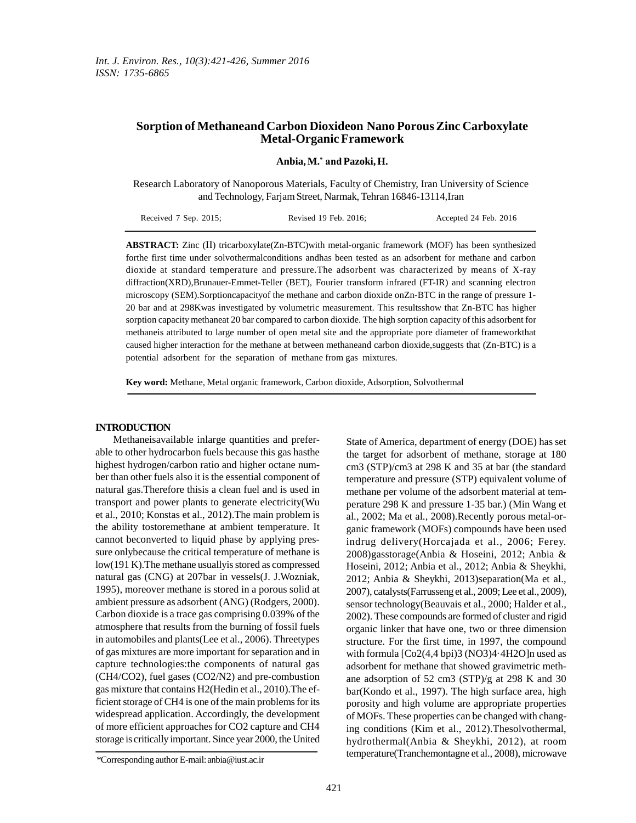# **Sorption of Methaneand Carbon Dioxideon Nano Porous Zinc Carboxylate Metal-Organic Framework**

**Anbia, M.\* and Pazoki, H.**

Research Laboratory of Nanoporous Materials, Faculty of Chemistry, Iran University of Science and Technology, Farjam Street, Narmak, Tehran 16846-13114,Iran

| Received $7$ Sep. $2015$ ; | Revised 19 Feb. 2016; | Accepted 24 Feb. 2016 |
|----------------------------|-----------------------|-----------------------|
|                            |                       |                       |

**ABSTRACT:** Zinc (II) tricarboxylate(Zn-BTC)with metal-organic framework (MOF) has been synthesized forthe first time under solvothermalconditions andhas been tested as an adsorbent for methane and carbon dioxide at standard temperature and pressure.The adsorbent was characterized by means of X-ray diffraction(XRD),Brunauer-Emmet-Teller (BET), Fourier transform infrared (FT-IR) and scanning electron microscopy (SEM).Sorptioncapacityof the methane and carbon dioxide onZn-BTC in the range of pressure 1- 20 bar and at 298Kwas investigated by volumetric measurement. This resultsshow that Zn-BTC has higher sorption capacity methaneat 20 bar compared to carbon dioxide. The high sorption capacity of this adsorbent for methaneis attributed to large number of open metal site and the appropriate pore diameter of frameworkthat caused higher interaction for the methane at between methaneand carbon dioxide,suggests that (Zn-BTC) is a potential adsorbent for the separation of methane from gas mixtures.

**Key word:** Methane, Metal organic framework, Carbon dioxide, Adsorption, Solvothermal

## **INTRODUCTION**

Methaneisavailable inlarge quantities and preferable to other hydrocarbon fuels because this gas hasthe highest hydrogen/carbon ratio and higher octane number than other fuels also it is the essential component of natural gas.Therefore thisis a clean fuel and is used in transport and power plants to generate electricity(Wu et al., 2010; Konstas et al., 2012).The main problem is the ability tostoremethane at ambient temperature. It cannot beconverted to liquid phase by applying pressure onlybecause the critical temperature of methane is low(191 K).The methane usuallyis stored as compressed natural gas (CNG) at 207bar in vessels(J. J.Wozniak, 1995), moreover methane is stored in a porous solid at ambient pressure as adsorbent (ANG) (Rodgers, 2000). Carbon dioxide is a trace gas comprising 0.039% of the atmosphere that results from the burning of fossil fuels in automobiles and plants(Lee et al., 2006). Threetypes of gas mixtures are more important for separation and in capture technologies:the components of natural gas (CH4/CO2), fuel gases (CO2/N2) and pre-combustion gas mixture that contains H2(Hedin et al., 2010).The efficient storage of CH4 is one of the main problems for its widespread application. Accordingly, the development of more efficient approaches for CO2 capture and CH4 storage is critically important. Since year 2000, the United State of America, department of energy (DOE) has set the target for adsorbent of methane, storage at 180 cm3 (STP)/cm3 at 298 K and 35 at bar (the standard temperature and pressure (STP) equivalent volume of methane per volume of the adsorbent material at temperature 298 K and pressure 1-35 bar.) (Min Wang et al., 2002; Ma et al., 2008).Recently porous metal-organic framework (MOFs) compounds have been used indrug delivery(Horcajada et al., 2006; Ferey. 2008)gasstorage(Anbia & Hoseini, 2012; Anbia & Hoseini, 2012; Anbia et al., 2012; Anbia & Sheykhi, 2012; Anbia & Sheykhi, 2013)separation(Ma et al., 2007), catalysts(Farrusseng et al., 2009; Lee et al., 2009), sensor technology(Beauvais et al., 2000; Halder et al., 2002). These compounds are formed of cluster and rigid organic linker that have one, two or three dimension structure. For the first time, in 1997, the compound with formula [Co2(4,4 bpi)3 (NO3)4·4H2O]n used as adsorbent for methane that showed gravimetric methane adsorption of 52 cm3 (STP)/g at 298 K and 30 bar(Kondo et al., 1997). The high surface area, high porosity and high volume are appropriate properties of MOFs. These properties can be changed with changing conditions (Kim et al., 2012).Thesolvothermal, hydrothermal(Anbia & Sheykhi, 2012), at room temperature(Tranchemontagne et al., 2008), microwave

<sup>\*</sup>Corresponding author E-mail:anbia@iust.ac.ir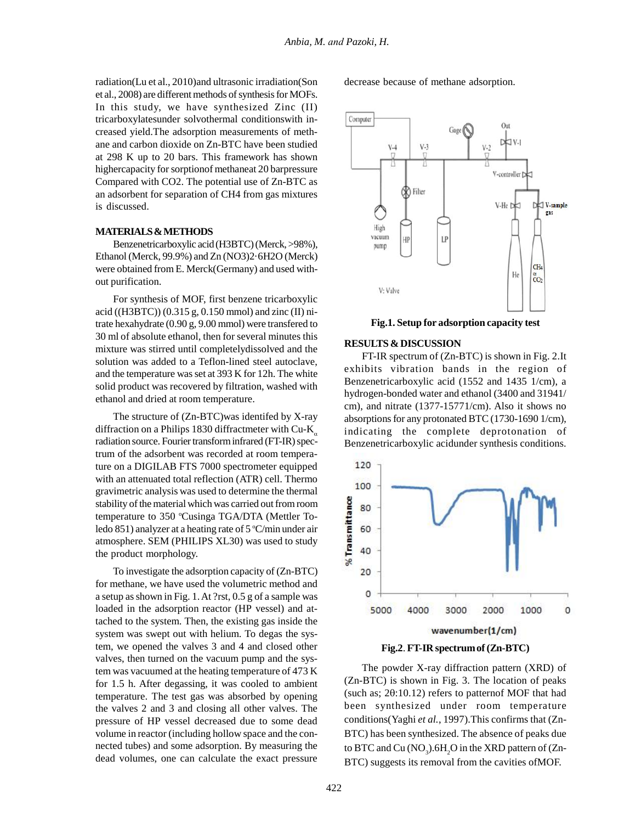radiation(Lu et al., 2010)and ultrasonic irradiation(Son et al., 2008) are different methods of synthesis for MOFs. In this study, we have synthesized Zinc (II) tricarboxylatesunder solvothermal conditionswith increased yield.The adsorption measurements of methane and carbon dioxide on Zn-BTC have been studied at 298 K up to 20 bars. This framework has shown highercapacity for sorptionof methaneat 20 barpressure Compared with CO2. The potential use of Zn-BTC as an adsorbent for separation of CH4 from gas mixtures is discussed.

## **MATERIALS & METHODS**

Benzenetricarboxylic acid (H3BTC) (Merck, >98%), Ethanol (Merck, 99.9%) and Zn (NO3)2·6H2O (Merck) were obtained from E. Merck(Germany) and used without purification.

For synthesis of MOF, first benzene tricarboxylic acid ((H3BTC)) (0.315 g, 0.150 mmol) and zinc (II) nitrate hexahydrate (0.90 g, 9.00 mmol) were transfered to 30 ml of absolute ethanol, then for several minutes this mixture was stirred until completelydissolved and the solution was added to a Teflon-lined steel autoclave, and the temperature was set at 393 K for 12h. The white solid product was recovered by filtration, washed with ethanol and dried at room temperature.

The structure of (Zn-BTC)was identifed by X-ray diffraction on a Philips 1830 diffractmeter with Cu-K radiation source. Fourier transform infrared (FT-IR) spectrum of the adsorbent was recorded at room temperature on a DIGILAB FTS 7000 spectrometer equipped with an attenuated total reflection (ATR) cell. Thermo<br>100 gravimetric analysis was used to determine the thermal stability of the material which was carried out from room<br>temperature to 350 °Cusinga TGA/DTA (Mettler To-<br>ledo 851) analyzer at a heating rate of 5 °C/min under air<br>atmosphere. SEM (PHILIPS XL30) was used to study<br>the pro temperature to 350 °Cusinga TGA/DTA (Mettler Toledo 851) analyzer at a heating rate of  $5^{\circ}$ C/min under air atmosphere. SEM (PHILIPS XL30) was used to study the product morphology.

To investigate the adsorption capacity of (Zn-BTC) for methane, we have used the volumetric method and a setup as shown in Fig. 1. At ?rst, 0.5 g of a sample was loaded in the adsorption reactor (HP vessel) and attached to the system. Then, the existing gas inside the system was swept out with helium. To degas the system, we opened the valves 3 and 4 and closed other valves, then turned on the vacuum pump and the system was vacuumed at the heating temperature of 473 K for 1.5 h. After degassing, it was cooled to ambient temperature. The test gas was absorbed by opening the valves 2 and 3 and closing all other valves. The pressure of HP vessel decreased due to some dead volume in reactor (including hollow space and the connected tubes) and some adsorption. By measuring the dead volumes, one can calculate the exact pressure decrease because of methane adsorption.



**Fig.1. Setup for adsorption capacity test**

### **RESULTS & DISCUSSION**

FT-IR spectrum of (Zn-BTC) is shown in Fig. 2.It exhibits vibration bands in the region of Benzenetricarboxylic acid (1552 and 1435 1/cm), a hydrogen-bonded water and ethanol (3400 and 31941/ cm), and nitrate (1377-15771/cm). Also it shows no absorptions for any protonated BTC (1730-1690 1/cm), indicating the complete deprotonation of Benzenetricarboxylic acidunder synthesis conditions.





The powder X-ray diffraction pattern (XRD) of (Zn-BTC) is shown in Fig. 3. The location of peaks (such as;  $2\theta$ :10.12) refers to patternof MOF that had been synthesized under room temperature conditions(Yaghi *et al.*, 1997).This confirms that (Zn-BTC) has been synthesized. The absence of peaks due to BTC and Cu  $(NO<sub>2</sub>)$ .6H<sub>2</sub>O in the XRD pattern of  $(Zn-$ BTC) suggests its removal from the cavities ofMOF.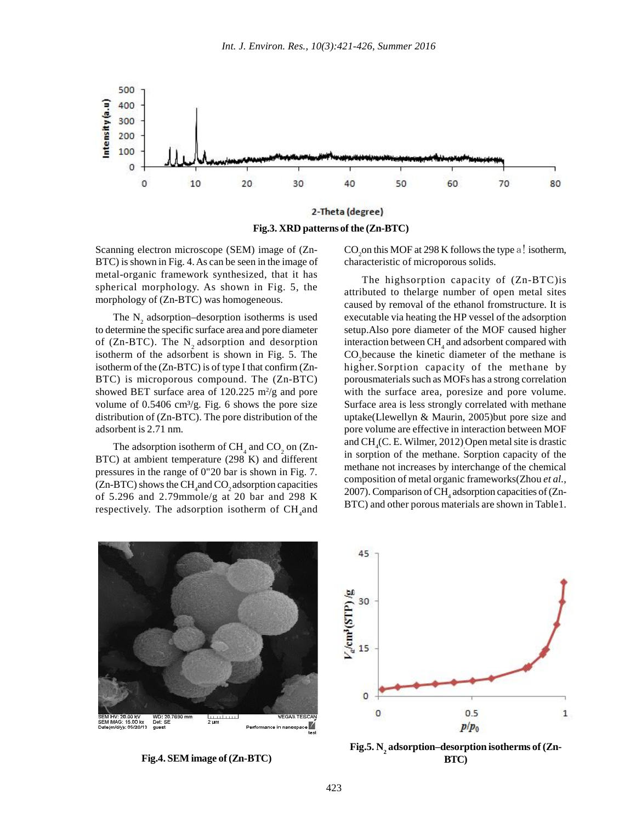



Scanning electron microscope (SEM) image of (Zn-BTC) is shown in Fig. 4. As can be seen in the image of metal-organic framework synthesized, that it has spherical morphology. As shown in Fig. 5, the morphology of (Zn-BTC) was homogeneous.

The  $N_2$  adsorption–desorption isotherms is used exercise to determine the specific surface area and pore diameter of (Zn-BTC). The  $N_2$  adsorption and desorption isotherm of the adsorbent is shown in Fig. 5. The isotherm of the (Zn-BTC) is of type I that confirm (Zn-BTC) is microporous compound. The (Zn-BTC) showed BET surface area of  $120.225 \text{ m}^2/\text{g}$  and pore w volume of  $0.5406$  cm<sup>3</sup>/g. Fig. 6 shows the pore size distribution of (Zn-BTC). The pore distribution of the adsorbent is 2.71 nm.

The adsorption isotherm of  $\text{CH}_4$  and  $\text{CO}_2$  on (Zn-BTC) at ambient temperature (298 K) and different pressures in the range of 0"20 bar is shown in Fig. 7.  $(Zn-BTC)$  shows the CH<sub>4</sub>and CO<sub>2</sub> adsorption capacities of 5.296 and 2.79mmole/g at 20 bar and 298 K respectively. The adsorption isotherm of  $CH<sub>4</sub>$ and CO<sub>2</sub> on this MOF at 298 K follows the type a! isotherm, characteristic of microporous solids.

The highsorption capacity of (Zn-BTC)is attributed to thelarge number of open metal sites caused by removal of the ethanol fromstructure. It is executable via heating the HP vessel of the adsorption setup.Also pore diameter of the MOF caused higher interaction between  $\text{CH}_4$  and adsorbent compared with CO<sub>2</sub>because the kinetic diameter of the methane is higher.Sorption capacity of the methane by porousmaterials such as MOFs has a strong correlation with the surface area, poresize and pore volume. Surface area is less strongly correlated with methane uptake(Llewellyn & Maurin, 2005)but pore size and pore volume are effective in interaction between MOF and  $CH<sub>4</sub>(C. E. Wilmer, 2012)$  Open metal site is drastic in sorption of the methane. Sorption capacity of the methane not increases by interchange of the chemical composition of metal organic frameworks(Zhou *et al.*, 2007). Comparison of  $\mathrm{CH}_4$  adsorption capacities of (Zn-BTC) and other porous materials are shown in Table1.



**Fig.4. SEM image of (Zn-BTC)**



**Fig.5. N<sup>2</sup> adsorption–desorption isotherms of (Zn-BTC)**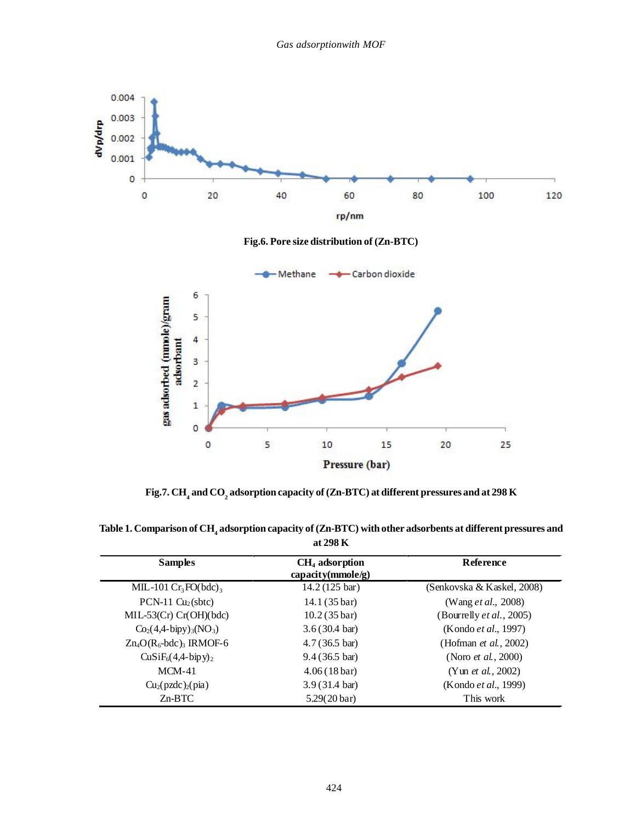

**Fig.7. CH<sup>4</sup> and CO<sup>2</sup> adsorption capacity of (Zn-BTC) at different pressures and at 298 K**

| <b>AL 470 IX</b>                          |                                           |                                  |
|-------------------------------------------|-------------------------------------------|----------------------------------|
| <b>Samples</b>                            | $CH4$ adsorption<br>capacity( $mmole/g$ ) | Reference                        |
| MIL-101 $Cr_3FO(bdc)$                     | 14.2 (125 bar)                            | (Senkovska & Kaskel, 2008)       |
| PCN-11 $Cu2(sbtc)$                        | 14.1 (35 bar)                             | (Wang <i>et al.</i> , 2008)      |
| $MIL-53(Cr) Cr(OH)(bdc)$                  | $10.2(35 \,\text{bar})$                   | (Bourrelly <i>et al.</i> , 2005) |
| $Co2(4,4-bipy)3(NO3)$                     | $3.6(30.4 \text{ bar})$                   | (Kondo et al., 1997)             |
| $Zn_4O(R_6-bdc)$ <sub>3</sub> IRMOF-6     | $4.7(36.5 \text{ bar})$                   | (Hofman <i>et al.</i> , 2002)    |
| $\text{CuSiF}_6(4,4-\text{bipy})_2$       | $9.4(36.5 \text{ bar})$                   | (Noro <i>et al.</i> , 2000)      |
| $MCM-41$                                  | $4.06(18 \,\text{bar})$                   | (Yun <i>et al.</i> , 2002)       |
| Cu <sub>2</sub> (pzdc) <sub>2</sub> (pia) | $3.9(31.4 \text{ bar})$                   | (Kondo <i>et al.</i> , 1999)     |
| $Zn-BTC$                                  | $5.29(20 \,\text{bar})$                   | This work                        |

**Table 1. Comparison of CH<sup>4</sup> adsorption capacity of (Zn-BTC) with other adsorbents at different pressures and at 298 K**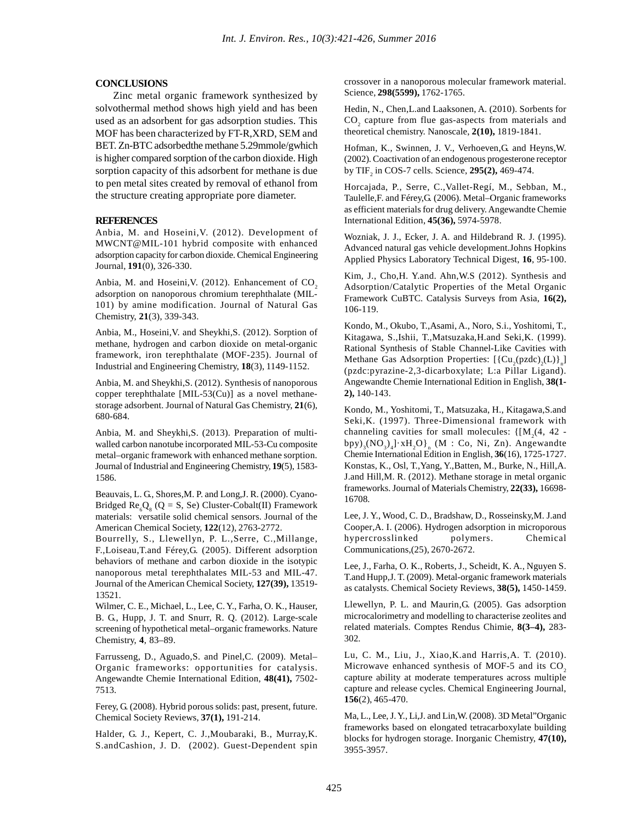## **CONCLUSIONS**

Zinc metal organic framework synthesized by solvothermal method shows high yield and has been used as an adsorbent for gas adsorption studies. This MOF has been characterized by FT-R,XRD, SEM and BET. Zn-BTC adsorbedthe methane 5.29mmole/gwhich is higher compared sorption of the carbon dioxide. High sorption capacity of this adsorbent for methane is due to pen metal sites created by removal of ethanol from the structure creating appropriate pore diameter.

#### **REFERENCES**

Anbia, M. and Hoseini,V. (2012). Development of MWCNT@MIL-101 hybrid composite with enhanced adsorption capacity for carbon dioxide. Chemical Engineering Journal, **191**(0), 326-330.

Anbia, M. and Hoseini, V. (2012). Enhancement of  $CO_2$  adsorption on nanoporous chromium terephthalate (MIL-101) by amine modification. Journal of Natural Gas Chemistry, **21**(3), 339-343.

Anbia, M., Hoseini,V. and Sheykhi,S. (2012). Sorption of methane, hydrogen and carbon dioxide on metal-organic framework, iron terephthalate (MOF-235). Journal of Industrial and Engineering Chemistry, **18**(3), 1149-1152.

Anbia, M. and Sheykhi,S. (2012). Synthesis of nanoporous copper terephthalate [MIL-53(Cu)] as a novel methanestorage adsorbent. Journal of Natural Gas Chemistry, **21**(6), 680-684.

Anbia, M. and Sheykhi,S. (2013). Preparation of multiwalled carbon nanotube incorporated MIL-53-Cu composite metal–organic framework with enhanced methane sorption. Journal of Industrial and Engineering Chemistry, **19**(5), 1583- 1586.

Beauvais, L. G., Shores,M. P. and Long,J. R. (2000). Cyano-Bridged  $\text{Re}_{6}Q_{8}$  (Q = S, Se) Cluster-Cobalt(II) Framework materials: versatile solid chemical sensors. Journal of the American Chemical Society, **122**(12), 2763-2772.

Bourrelly, S., Llewellyn, P. L.,Serre, C.,Millange, F.,Loiseau,T.and Férey,G. (2005). Different adsorption behaviors of methane and carbon dioxide in the isotypic nanoporous metal terephthalates MIL-53 and MIL-47. Journal of the American Chemical Society, **127(39),** 13519- 13521. behaviors of methane and carbon dioxide in the isotypic<br>
nanoporous metal terephthalates MIL-53 and MIL-47.<br>
Journal of the American Chemical Society, 127(39), 13519-<br>
13521.<br>
Wilmer, C. E., Michael, L., Lee, C. Y., Farha,

Wilmer, C. E., Michael, L., Lee, C. Y., Farha, O. K., Hauser, Chemistry, **4**, 83–89.

Organic frameworks: opportunities for catalysis. Angewandte Chemie International Edition, **48(41),** 7502- 7513.

Ferey, G. (2008). Hybrid porous solids: past, present, future. Chemical Society Reviews, **37(1),** 191-214.

Halder, G. J., Kepert, C. J.,Moubaraki, B., Murray,K. S.andCashion, J. D. (2002). Guest-Dependent spin crossover in a nanoporous molecular framework material. Science, **298(5599),** 1762-1765.

Hedin, N., Chen,L.and Laaksonen, A. (2010). Sorbents for  $CO<sub>2</sub>$  capture from flue gas-aspects from materials and theoretical chemistry. Nanoscale, **2(10),** 1819-1841.

Hofman, K., Swinnen, J. V., Verhoeven,G. and Heyns,W. (2002). Coactivation of an endogenous progesterone receptor by TIF<sup>2</sup> in COS-7 cells. Science, **295(2),** 469-474.

Horcajada, P., Serre, C.,Vallet-Regí, M., Sebban, M., Taulelle,F. and Férey,G. (2006). Metal–Organic frameworks as efficient materials for drug delivery. Angewandte Chemie International Edition, **45(36),** 5974-5978.

Wozniak, J. J., Ecker, J. A. and Hildebrand R. J. (1995). Advanced natural gas vehicle development.Johns Hopkins Applied Physics Laboratory Technical Digest, **16**, 95-100.

Kim, J., Cho,H. Y.and. Ahn,W.S (2012). Synthesis and Adsorption/Catalytic Properties of the Metal Organic Framework CuBTC. Catalysis Surveys from Asia, **16(2),** 106-119.

Kondo, M., Okubo, T.,Asami, A., Noro, S.i., Yoshitomi, T., Kitagawa, S.,Ishii, T.,Matsuzaka,H.and Seki,K. (1999). Rational Synthesis of Stable Channel-Like Cavities with Methane Gas Adsorption Properties:  $[\{Cu,(pzdc),(L)\}\]$ (pzdc:pyrazine-2,3-dicarboxylate; L:a Pillar Ligand). Angewandte Chemie International Edition in English, **38(1- 2),** 140-143.

Kondo, M., Yoshitomi, T., Matsuzaka, H., Kitagawa,S.and Seki,K. (1997). Three-Dimensional framework with channeling cavities for small molecules:  $\{[M,(4, 42$ bpy)<sub>3</sub>(NO<sub>3</sub>)<sub>4</sub>] $\cdot xH_2O$ <sub>n</sub> (M : Co, Ni, Zn). Angewandte Yoshitomi, T., N<br>997). Three-D<br>cavities for sn<br> $_4$ l·x $H_2O$ }<sub>n</sub> (M<br>mational Edition Chemie International Edition in English, **36**(16), 1725-1727. Konstas, K., Osl, T.,Yang, Y.,Batten, M., Burke, N., Hill,A. J.and Hill,M. R. (2012). Methane storage in metal organic frameworks. Journal of Materials Chemistry, **22(33),** 16698- 16708.

Lee, J. Y., Wood, C. D., Bradshaw, D., Rosseinsky,M. J.and Cooper,A. I. (2006). Hydrogen adsorption in microporous hypercrosslinked polymers. Chemical Communications,(25), 2670-2672.

Lee, J., Farha, O. K., Roberts, J., Scheidt, K. A., Nguyen S. T.and Hupp,J. T. (2009). Metal-organic framework materials as catalysts. Chemical Society Reviews, **38(5),** 1450-1459.

Llewellyn, P. L. and Maurin,G. (2005). Gas adsorption microcalorimetry and modelling to characterise zeolites and related materials. Comptes Rendus Chimie, **8(3–4),** 283- 302.

Farrusseng, D., Aguado,S. and Pinel,C. (2009). Metal— Lu, C. M., Liu, J., Xiao,K. and Harris,A. T. (2010).<br>Organic frameworks: opportunities for catalysis. Microwave enhanced synthesis of MOF-5 and its CO. Lu, C. M., Liu, J., Xiao,K.and Harris,A. T. (2010). capture ability at moderate temperatures across multiple capture and release cycles. Chemical Engineering Journal, **156**(2), 465-470.

> Ma, L., Lee, J. Y., Li,J. and Lin,W. (2008). 3D Metal"Organic frameworks based on elongated tetracarboxylate building blocks for hydrogen storage. Inorganic Chemistry, **47(10),** 3955-3957.